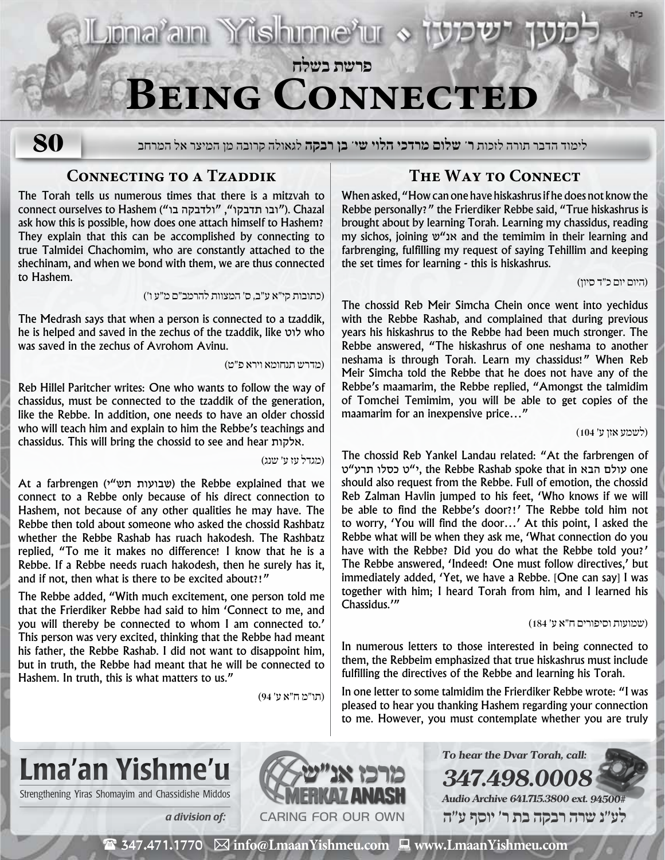IL Jona'am Yishunne'ur > t **פרשת בשלח**

# **Being Connected**

**80**

לימוד הדבר תורה לזכות **ר' שלום מרדכי הלוי שי' בן רבקה** לגאולה קרובה מן המיצר אל המרחב

### **CONNECTING TO A TZADDIK**

The Torah tells us numerous times that there is a mitzvah to connect ourselves to Hashem ("ובו תדבקו", "ולדבקה בו"). Chazal ask how this is possible, how does one attach himself to Hashem? They explain that this can be accomplished by connecting to true Talmidei Chachomim, who are constantly attached to the shechinam, and when we bond with them, we are thus connected to Hashem.

)כתובות קי״א ע״ב, ס׳ המצוות להרמב״ם מ״ע ו׳(

The Medrash says that when a person is connected to a tzaddik, he is helped and saved in the zechus of the tzaddik, like לוט who was saved in the zechus of Avrohom Avinu.

)מדרש תנחומא וירא פ״ט(

Reb Hillel Paritcher writes: One who wants to follow the way of chassidus, must be connected to the tzaddik of the generation, like the Rebbe. In addition, one needs to have an older chossid who will teach him and explain to him the Rebbe's teachings and chassidus. This will bring the chossid to see and hear אלקות.

)מגדל עז ע׳ שנג(

At a farbrengen (שבועות תש"י) the Rebbe explained that we connect to a Rebbe only because of his direct connection to Hashem, not because of any other qualities he may have. The Rebbe then told about someone who asked the chossid Rashbatz whether the Rebbe Rashab has ruach hakodesh. The Rashbatz replied, "To me it makes no difference! I know that he is a Rebbe. If a Rebbe needs ruach hakodesh, then he surely has it, and if not, then what is there to be excited about?!"

The Rebbe added, "With much excitement, one person told me that the Frierdiker Rebbe had said to him 'Connect to me, and you will thereby be connected to whom I am connected to.' This person was very excited, thinking that the Rebbe had meant his father, the Rebbe Rashab. I did not want to disappoint him, but in truth, the Rebbe had meant that he will be connected to Hashem. In truth, this is what matters to us."

)תו״מ ח״א ע׳ 94(

### **The Way to Connect**

When asked, "How can one have hiskashrus if he does not know the Rebbe personally?" the Frierdiker Rebbe said, "True hiskashrus is brought about by learning Torah. Learning my chassidus, reading my sichos, joining ש"אנ and the temimim in their learning and farbrenging, fulfilling my request of saying Tehillim and keeping the set times for learning - this is hiskashrus.

)היום יום כ״ד סיון(

The chossid Reb Meir Simcha Chein once went into yechidus with the Rebbe Rashab, and complained that during previous years his hiskashrus to the Rebbe had been much stronger. The Rebbe answered, "The hiskashrus of one neshama to another neshama is through Torah. Learn my chassidus!" When Reb Meir Simcha told the Rebbe that he does not have any of the Rebbe's maamarim, the Rebbe replied, "Amongst the talmidim of Tomchei Temimim, you will be able to get copies of the maamarim for an inexpensive price…"

)לשמע אזן ע׳ 104(

The chossid Reb Yankel Landau related: "At the farbrengen of one עולם הבא in that spoke Rashab Rebbe the ,י"ט כסלו תרע"ט should also request from the Rebbe. Full of emotion, the chossid Reb Zalman Havlin jumped to his feet, 'Who knows if we will be able to find the Rebbe's door?!' The Rebbe told him not to worry, 'You will find the door…' At this point, I asked the Rebbe what will be when they ask me, 'What connection do you have with the Rebbe? Did you do what the Rebbe told you?' The Rebbe answered, 'Indeed! One must follow directives,' but immediately added, 'Yet, we have a Rebbe. [One can say] I was together with him; I heard Torah from him, and I learned his Chassidus.'"

#### )שמועות וסיפורים ח״א ע׳ 184(

In numerous letters to those interested in being connected to them, the Rebbeim emphasized that true hiskashrus must include fulfilling the directives of the Rebbe and learning his Torah.

In one letter to some talmidim the Frierdiker Rebbe wrote: "I was pleased to hear you thanking Hashem regarding your connection to me. However, you must contemplate whether you are truly

# Lma'an Yishme'u

Strengthening Yiras Shomayim and Chassidishe Middos



**347.498.0008 Audio Archive 641.715.3800 ext. 94500# לע"נ שרה רבקה בת ר׳ יוסף ע"ה**

**To hear the Dvar Torah, call:**

 $\mathbf{\mathcal{F}}$  347.471.1770  $\boxtimes$  info@LmaanYishmeu.com  $\Box$  www.LmaanYishmeu.com